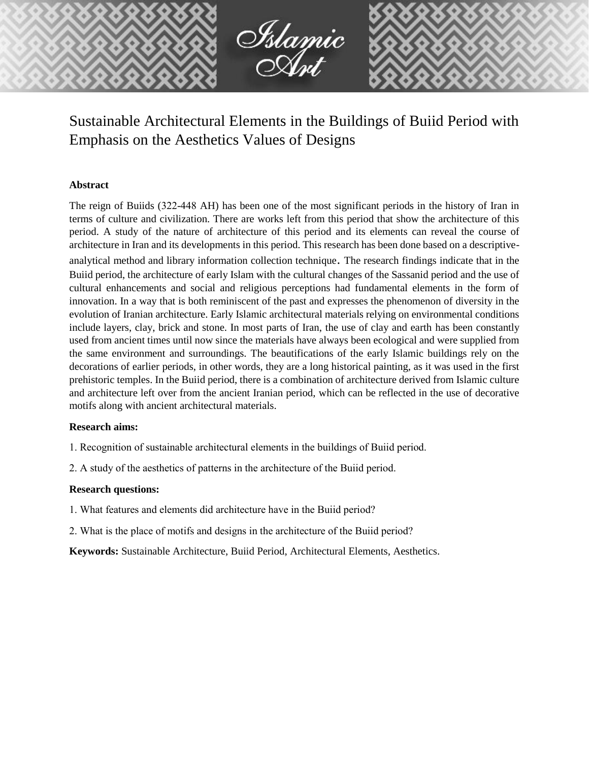

Sustainable Architectural Elements in the Buildings of Buiid Period with Emphasis on the Aesthetics Values of Designs

#### **Abstract**

The reign of Buiids (322-448 AH) has been one of the most significant periods in the history of Iran in terms of culture and civilization. There are works left from this period that show the architecture of this period. A study of the nature of architecture of this period and its elements can reveal the course of architecture in Iran and its developments in this period. This research has been done based on a descriptiveanalytical method and library information collection technique. The research findings indicate that in the Buiid period, the architecture of early Islam with the cultural changes of the Sassanid period and the use of cultural enhancements and social and religious perceptions had fundamental elements in the form of innovation. In a way that is both reminiscent of the past and expresses the phenomenon of diversity in the evolution of Iranian architecture. Early Islamic architectural materials relying on environmental conditions include layers, clay, brick and stone. In most parts of Iran, the use of clay and earth has been constantly used from ancient times until now since the materials have always been ecological and were supplied from the same environment and surroundings. The beautifications of the early Islamic buildings rely on the decorations of earlier periods, in other words, they are a long historical painting, as it was used in the first prehistoric temples. In the Buiid period, there is a combination of architecture derived from Islamic culture and architecture left over from the ancient Iranian period, which can be reflected in the use of decorative motifs along with ancient architectural materials.

#### **Research aims:**

- 1. Recognition of sustainable architectural elements in the buildings of Buiid period.
- 2. A study of the aesthetics of patterns in the architecture of the Buiid period.

## **Research questions:**

- 1. What features and elements did architecture have in the Buiid period?
- 2. What is the place of motifs and designs in the architecture of the Buiid period?

**Keywords:** Sustainable Architecture, Buiid Period, Architectural Elements, Aesthetics.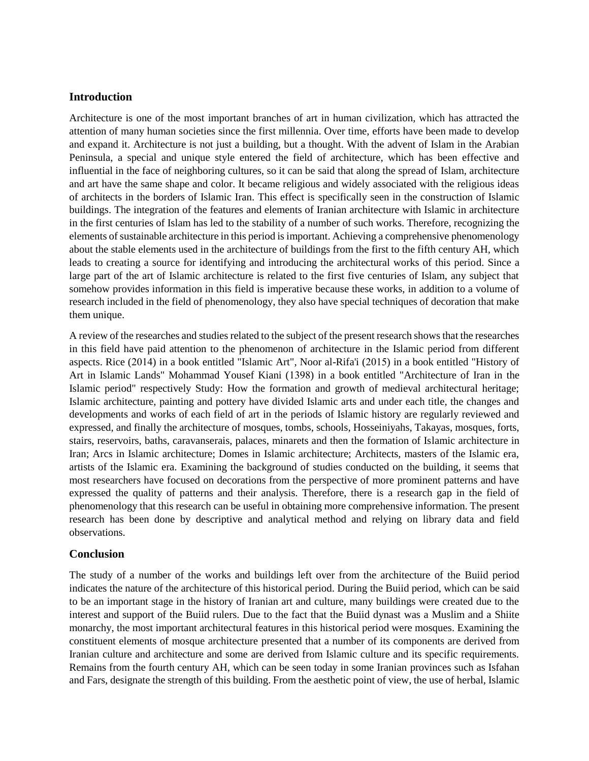### **Introduction**

Architecture is one of the most important branches of art in human civilization, which has attracted the attention of many human societies since the first millennia. Over time, efforts have been made to develop and expand it. Architecture is not just a building, but a thought. With the advent of Islam in the Arabian Peninsula, a special and unique style entered the field of architecture, which has been effective and influential in the face of neighboring cultures, so it can be said that along the spread of Islam, architecture and art have the same shape and color. It became religious and widely associated with the religious ideas of architects in the borders of Islamic Iran. This effect is specifically seen in the construction of Islamic buildings. The integration of the features and elements of Iranian architecture with Islamic in architecture in the first centuries of Islam has led to the stability of a number of such works. Therefore, recognizing the elements of sustainable architecture in this period is important. Achieving a comprehensive phenomenology about the stable elements used in the architecture of buildings from the first to the fifth century AH, which leads to creating a source for identifying and introducing the architectural works of this period. Since a large part of the art of Islamic architecture is related to the first five centuries of Islam, any subject that somehow provides information in this field is imperative because these works, in addition to a volume of research included in the field of phenomenology, they also have special techniques of decoration that make them unique.

A review of the researches and studies related to the subject of the present research shows that the researches in this field have paid attention to the phenomenon of architecture in the Islamic period from different aspects. Rice (2014) in a book entitled "Islamic Art", Noor al-Rifa'i (2015) in a book entitled "History of Art in Islamic Lands" Mohammad Yousef Kiani (1398) in a book entitled "Architecture of Iran in the Islamic period" respectively Study: How the formation and growth of medieval architectural heritage; Islamic architecture, painting and pottery have divided Islamic arts and under each title, the changes and developments and works of each field of art in the periods of Islamic history are regularly reviewed and expressed, and finally the architecture of mosques, tombs, schools, Hosseiniyahs, Takayas, mosques, forts, stairs, reservoirs, baths, caravanserais, palaces, minarets and then the formation of Islamic architecture in Iran; Arcs in Islamic architecture; Domes in Islamic architecture; Architects, masters of the Islamic era, artists of the Islamic era. Examining the background of studies conducted on the building, it seems that most researchers have focused on decorations from the perspective of more prominent patterns and have expressed the quality of patterns and their analysis. Therefore, there is a research gap in the field of phenomenology that this research can be useful in obtaining more comprehensive information. The present research has been done by descriptive and analytical method and relying on library data and field observations.

## **Conclusion**

The study of a number of the works and buildings left over from the architecture of the Buiid period indicates the nature of the architecture of this historical period. During the Buiid period, which can be said to be an important stage in the history of Iranian art and culture, many buildings were created due to the interest and support of the Buiid rulers. Due to the fact that the Buiid dynast was a Muslim and a Shiite monarchy, the most important architectural features in this historical period were mosques. Examining the constituent elements of mosque architecture presented that a number of its components are derived from Iranian culture and architecture and some are derived from Islamic culture and its specific requirements. Remains from the fourth century AH, which can be seen today in some Iranian provinces such as Isfahan and Fars, designate the strength of this building. From the aesthetic point of view, the use of herbal, Islamic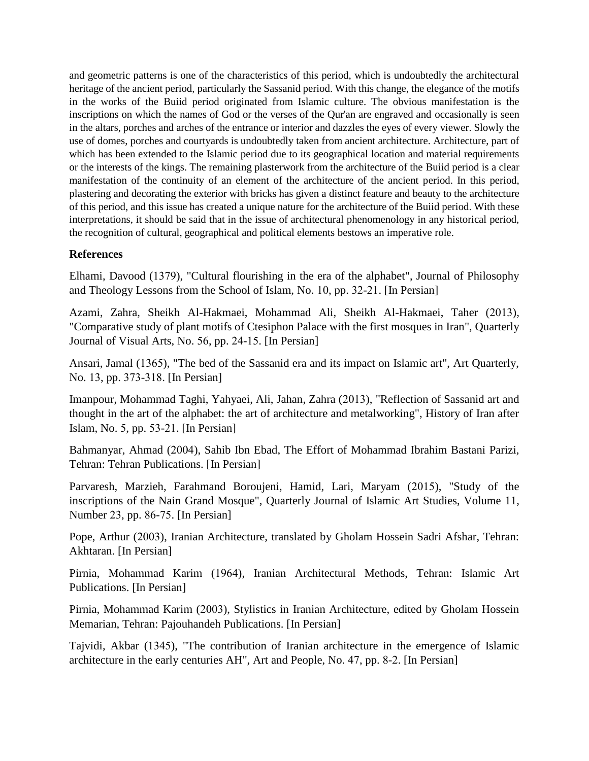and geometric patterns is one of the characteristics of this period, which is undoubtedly the architectural heritage of the ancient period, particularly the Sassanid period. With this change, the elegance of the motifs in the works of the Buiid period originated from Islamic culture. The obvious manifestation is the inscriptions on which the names of God or the verses of the Qur'an are engraved and occasionally is seen in the altars, porches and arches of the entrance or interior and dazzles the eyes of every viewer. Slowly the use of domes, porches and courtyards is undoubtedly taken from ancient architecture. Architecture, part of which has been extended to the Islamic period due to its geographical location and material requirements or the interests of the kings. The remaining plasterwork from the architecture of the Buiid period is a clear manifestation of the continuity of an element of the architecture of the ancient period. In this period, plastering and decorating the exterior with bricks has given a distinct feature and beauty to the architecture of this period, and this issue has created a unique nature for the architecture of the Buiid period. With these interpretations, it should be said that in the issue of architectural phenomenology in any historical period, the recognition of cultural, geographical and political elements bestows an imperative role.

# **References**

Elhami, Davood (1379), "Cultural flourishing in the era of the alphabet", Journal of Philosophy and Theology Lessons from the School of Islam, No. 10, pp. 32-21. [In Persian]

Azami, Zahra, Sheikh Al-Hakmaei, Mohammad Ali, Sheikh Al-Hakmaei, Taher (2013), "Comparative study of plant motifs of Ctesiphon Palace with the first mosques in Iran", Quarterly Journal of Visual Arts, No. 56, pp. 24-15. [In Persian]

Ansari, Jamal (1365), "The bed of the Sassanid era and its impact on Islamic art", Art Quarterly, No. 13, pp. 373-318. [In Persian]

Imanpour, Mohammad Taghi, Yahyaei, Ali, Jahan, Zahra (2013), "Reflection of Sassanid art and thought in the art of the alphabet: the art of architecture and metalworking", History of Iran after Islam, No. 5, pp. 53-21. [In Persian]

Bahmanyar, Ahmad (2004), Sahib Ibn Ebad, The Effort of Mohammad Ibrahim Bastani Parizi, Tehran: Tehran Publications. [In Persian]

Parvaresh, Marzieh, Farahmand Boroujeni, Hamid, Lari, Maryam (2015), "Study of the inscriptions of the Nain Grand Mosque", Quarterly Journal of Islamic Art Studies, Volume 11, Number 23, pp. 86-75. [In Persian]

Pope, Arthur (2003), Iranian Architecture, translated by Gholam Hossein Sadri Afshar, Tehran: Akhtaran. [In Persian]

Pirnia, Mohammad Karim (1964), Iranian Architectural Methods, Tehran: Islamic Art Publications. [In Persian]

Pirnia, Mohammad Karim (2003), Stylistics in Iranian Architecture, edited by Gholam Hossein Memarian, Tehran: Pajouhandeh Publications. [In Persian]

Tajvidi, Akbar (1345), "The contribution of Iranian architecture in the emergence of Islamic architecture in the early centuries AH", Art and People, No. 47, pp. 8-2. [In Persian]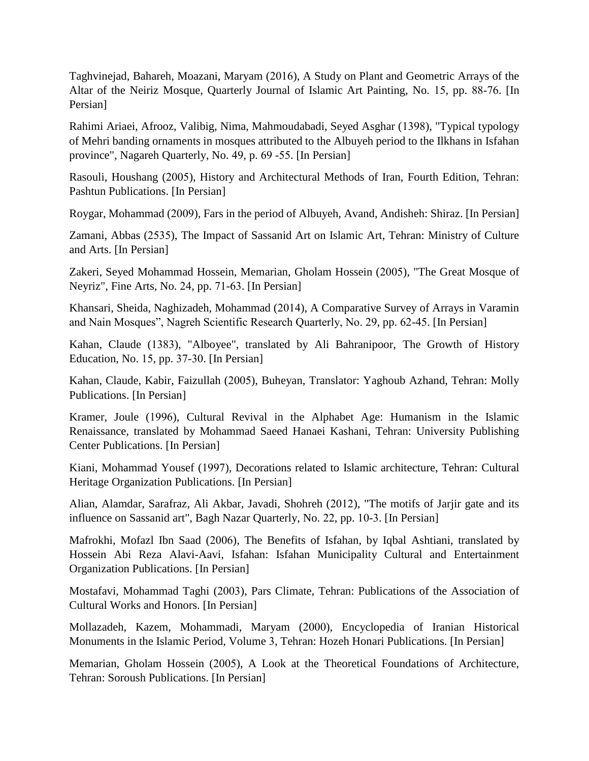Taghvinejad, Bahareh, Moazani, Maryam (2016), A Study on Plant and Geometric Arrays of the Altar of the Neiriz Mosque, Quarterly Journal of Islamic Art Painting, No. 15, pp. 88-76. [In Persian]

Rahimi Ariaei, Afrooz, Valibig, Nima, Mahmoudabadi, Seyed Asghar (1398), "Typical typology of Mehri banding ornaments in mosques attributed to the Albuyeh period to the Ilkhans in Isfahan province", Nagareh Quarterly, No. 49, p. 69 -55. [In Persian]

Rasouli, Houshang (2005), History and Architectural Methods of Iran, Fourth Edition, Tehran: Pashtun Publications. [In Persian]

Roygar, Mohammad (2009), Fars in the period of Albuyeh, Avand, Andisheh: Shiraz. [In Persian]

Zamani, Abbas (2535), The Impact of Sassanid Art on Islamic Art, Tehran: Ministry of Culture and Arts. [In Persian]

Zakeri, Seyed Mohammad Hossein, Memarian, Gholam Hossein (2005), "The Great Mosque of Neyriz", Fine Arts, No. 24, pp. 71-63. [In Persian]

Khansari, Sheida, Naghizadeh, Mohammad (2014), A Comparative Survey of Arrays in Varamin and Nain Mosques", Nagreh Scientific Research Quarterly, No. 29, pp. 62-45. [In Persian]

Kahan, Claude (1383), "Alboyee", translated by Ali Bahranipoor, The Growth of History Education, No. 15, pp. 37-30. [In Persian]

Kahan, Claude, Kabir, Faizullah (2005), Buheyan, Translator: Yaghoub Azhand, Tehran: Molly Publications. [In Persian]

Kramer, Joule (1996), Cultural Revival in the Alphabet Age: Humanism in the Islamic Renaissance, translated by Mohammad Saeed Hanaei Kashani, Tehran: University Publishing Center Publications. [In Persian]

Kiani, Mohammad Yousef (1997), Decorations related to Islamic architecture, Tehran: Cultural Heritage Organization Publications. [In Persian]

Alian, Alamdar, Sarafraz, Ali Akbar, Javadi, Shohreh (2012), "The motifs of Jarjir gate and its influence on Sassanid art", Bagh Nazar Quarterly, No. 22, pp. 10-3. [In Persian]

Mafrokhi, Mofazl Ibn Saad (2006), The Benefits of Isfahan, by Iqbal Ashtiani, translated by Hossein Abi Reza Alavi-Aavi, Isfahan: Isfahan Municipality Cultural and Entertainment Organization Publications. [In Persian]

Mostafavi, Mohammad Taghi (2003), Pars Climate, Tehran: Publications of the Association of Cultural Works and Honors. [In Persian]

Mollazadeh, Kazem, Mohammadi, Maryam (2000), Encyclopedia of Iranian Historical Monuments in the Islamic Period, Volume 3, Tehran: Hozeh Honari Publications. [In Persian]

Memarian, Gholam Hossein (2005), A Look at the Theoretical Foundations of Architecture, Tehran: Soroush Publications. [In Persian]